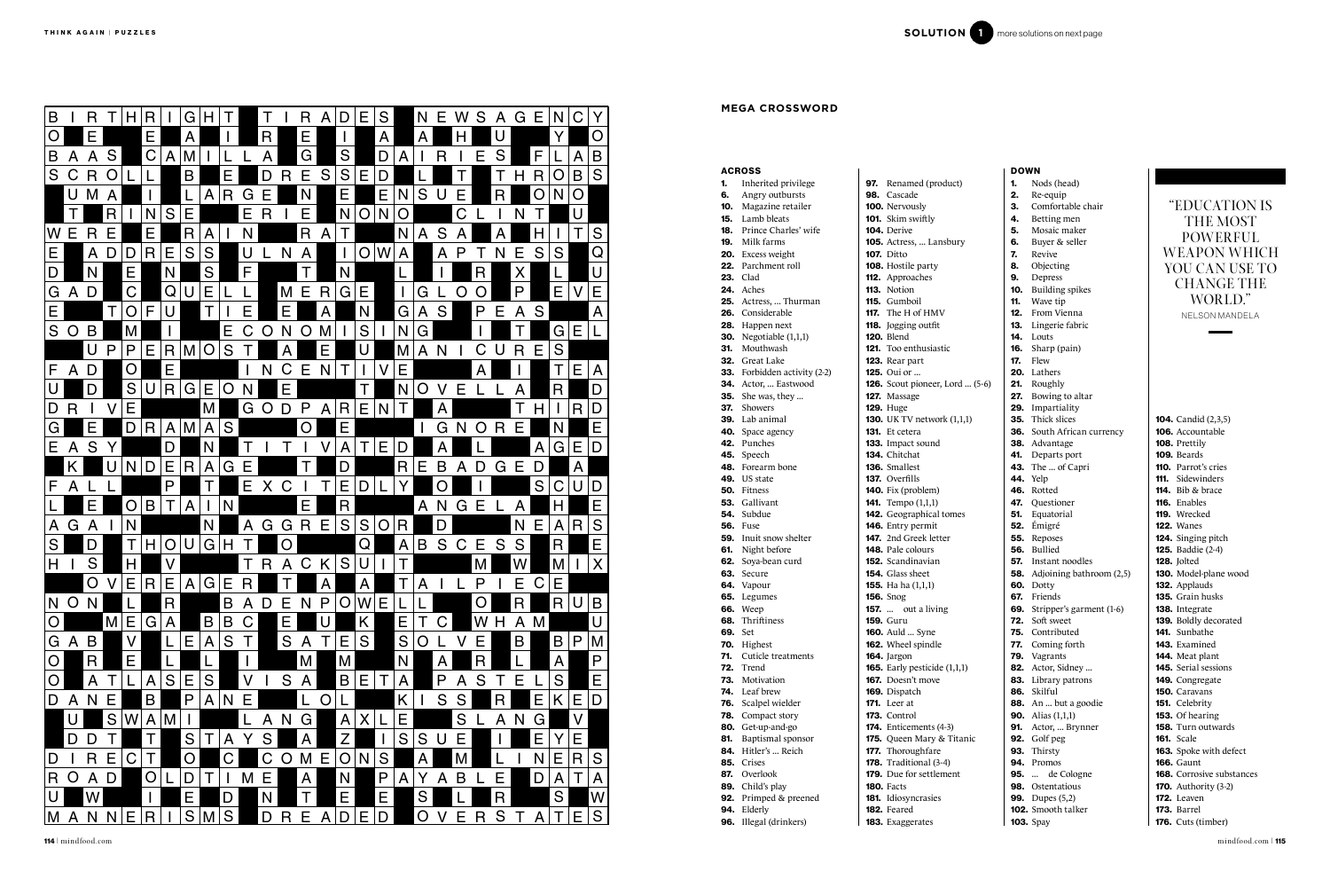|     | <b>ACROSS</b>                 |                                 |
|-----|-------------------------------|---------------------------------|
| 1.  | Inherited privilege           | 97. Renamed (produc             |
| 6.  | Angry outbursts               | 98. Cascade                     |
|     | <b>10.</b> Magazine retailer  | 100. Nervously                  |
| 15. | Lamb bleats                   | <b>101.</b> Skim swiftly        |
| 18. | Prince Charles' wife          | 104. Derive                     |
|     | 19. Milk farms                | 105. Actress,  Lansbu           |
|     | <b>20.</b> Excess weight      | <b>107.</b> Ditto               |
|     | 22. Parchment roll            | 108. Hostile party              |
|     | <b>23.</b> Clad               | 112. Approaches                 |
|     | <b>24.</b> Aches              | 113. Notion                     |
|     | 25. Actress,  Thurman         | 115. Gumboil                    |
|     | 26. Considerable              | <b>117.</b> The H of HMV        |
|     | 28. Happen next               | <b>118.</b> Jogging outfit      |
|     | <b>30.</b> Negotiable (1,1,1) | <b>120.</b> Blend               |
|     | 31. Mouthwash                 | <b>121.</b> Too enthusiastic    |
| 32. | Great Lake                    | 123. Rear part                  |
|     | 33. Forbidden activity (2-2)  | <b>125.</b> Oui or              |
| 34. | Actor,  Eastwood              | 126. Scout pioneer, Lor         |
| 35. | She was, they                 | 127. Massage                    |
| 37. | Showers                       | <b>129. Huge</b>                |
|     | <b>39.</b> Lab animal         | 130. UK TV network (1           |
|     | 40. Space agency              | <b>131.</b> Et cetera           |
|     | 42. Punches                   | <b>133.</b> Impact sound        |
|     | 45. Speech                    | <b>134.</b> Chitchat            |
|     | <b>48.</b> Forearm bone       | 136. Smallest                   |
|     | 49. US state                  | 137. Overfills                  |
|     | 50. Fitness                   | <b>140.</b> Fix (problem)       |
|     | 53. Gallivant                 | <b>141.</b> Tempo (1,1,1)       |
|     | <b>54.</b> Subdue             | 142. Geographical tom           |
|     | <b>56.</b> Fuse               | 146. Entry permit               |
|     | <b>59.</b> Inuit snow shelter | <b>147.</b> 2nd Greek letter    |
|     | 61. Night before              | <b>148.</b> Pale colours        |
|     | 62. Soya-bean curd            | <b>152.</b> Scandinavian        |
| 63. | Secure                        | <b>154.</b> Glass sheet         |
|     | 64. Vapour                    | <b>155.</b> Ha ha $(1,1,1)$     |
|     | 65. Legumes                   | <b>156.</b> Snog                |
|     | <b>66.</b> Weep               | <b>157.</b> out a living        |
|     | 68. Thriftiness               | <b>159. Guru</b>                |
| 69. | Set                           | <b>160.</b> Auld  Syne          |
| 70. | Highest                       | 162. Wheel spindle              |
| 71. | Cuticle treatments            | 164. Jargon                     |
| 72. | Trend                         | <b>165.</b> Early pesticide (1, |
| 73. | Motivation                    | <b>167.</b> Doesn't move        |
| 74. | Leaf brew                     | 169. Dispatch                   |
| 76. | Scalpel wielder               | <b>171.</b> Leer at             |
| 78. | Compact story                 | 173. Control                    |
| 80. | Get-up-and-go                 | 174. Enticements (4-3)          |
| 81. | Baptismal sponsor             | <b>175.</b> Queen Mary & Ti     |
| 84. | Hitler's  Reich               | 177. Thoroughfare               |
| 85. | Crises                        | <b>178.</b> Traditional (3-4)   |
| 87. | Overlook                      | <b>179.</b> Due for settlemen   |
| 89. | Child's play                  | <b>180.</b> Facts               |
|     | 92. Primped & preened         | 181. Idiosyncrasies             |
|     | 94. Elderly                   | 182. Feared                     |
|     | 96. Illegal (drinkers)        | 183. Exaggerates                |

|           | <b>DOWN</b>     |                                                |
|-----------|-----------------|------------------------------------------------|
| ct)       | 1.              | Nods (head)                                    |
|           | 2.              | Re-equip                                       |
|           | З.              | Comfortable chair                              |
|           | 4.              | Betting men                                    |
|           | 5.              | Mosaic maker                                   |
| iry       | 6.              | Buyer & seller                                 |
|           | 7.              | Revive                                         |
|           |                 | 8. Objecting                                   |
|           | 9.              | Depress                                        |
|           | 10.             | <b>Building spikes</b>                         |
|           | 11.             | Wave tip                                       |
|           | 12.             | From Vienna                                    |
|           | 13.             | Lingerie fabric                                |
|           | 14.             | Louts                                          |
|           |                 | 16. Sharp (pain)                               |
|           |                 | <b>17.</b> Flew                                |
|           | 20.             | Lathers                                        |
| rd  (5-6) | 21.             | Roughly                                        |
|           | 27.             | Bowing to altar                                |
|           |                 | 29. Impartiality                               |
| 1,1,1)    |                 | 35. Thick slices<br>36. South African currency |
|           |                 |                                                |
|           |                 | 38. Advantage                                  |
|           |                 | 41. Departs port                               |
|           |                 | 43. The  of Capri                              |
|           | <b>44.</b> Yelp |                                                |
|           |                 | 46. Rotted                                     |
|           |                 | 47. Questioner                                 |
| nes       |                 | <b>51.</b> Equatorial<br><b>52.</b> Émigré     |
|           |                 | 55. Reposes                                    |
|           |                 | 56. Bullied                                    |
|           |                 | <b>57.</b> Instant noodles                     |
|           |                 | <b>58.</b> Adjoining bathroom (2,5)            |
|           |                 | <b>60.</b> Dotty                               |
|           |                 | 67. Friends                                    |
|           |                 | <b>69.</b> Stripper's garment (1-6)            |
|           | 72.             | Soft sweet                                     |
|           | 75.             | Contributed                                    |
|           | 77.             | Coming forth                                   |
|           | 79.             | Vagrants                                       |
| ,1,1)     | 82.             | Actor, Sidney                                  |
|           |                 | <b>83.</b> Library patrons                     |
|           |                 | 86. Skilful                                    |
|           |                 | 88. An  but a goodie                           |
|           |                 | <b>90.</b> Alias (1,1,1)                       |
|           | 91.             | Actor,  Brynner                                |
| itanic    |                 | 92. Golf peg                                   |
|           |                 | 93. Thirsty                                    |
|           |                 | <b>94.</b> Promos                              |
| nt        | 95. …           | de Cologne                                     |
|           |                 | <b>98.</b> Ostentatious                        |
|           |                 | <b>99.</b> Dupes (5,2)                         |
|           |                 | 102. Smooth talker                             |
|           |                 | <b>103.</b> Spay                               |

104. Candid (2,3,5) 106. Accountable 108. Prettily 109. Beards 110. Parrot's cries 111. Sidewinders **114.** Bib & brace 116. Enables 119. Wrecked 122. Wanes 124. Singing pitch 125. Baddie (2-4) 128. Jolted 130. Model-plane wood 132. Applauds 135. Grain husks 138. Integrate 139. Boldly decorated 141. Sunbathe 143. Examined 144. Meat plant 145. Serial sessions 149. Congregate 150. Caravans 151. Celebrity 153. Of hearing **158.** Turn outwards 161. Scale 163. Spoke with defect 166. Gaunt 168. Corrosive substances **170.** Authority (3-2) 172. Leaven 173. Barrel

| B              | R                 |                | R <br> T H                            |                 | IG.<br>H           |                   |                 | R                            | D<br>$\mathsf{A}$     | E            | S       | N.                  | IE.          | S.<br>W                          |     | A G E N C              |              |                   |                                                       |                                                 |                                               |                                   |
|----------------|-------------------|----------------|---------------------------------------|-----------------|--------------------|-------------------|-----------------|------------------------------|-----------------------|--------------|---------|---------------------|--------------|----------------------------------|-----|------------------------|--------------|-------------------|-------------------------------------------------------|-------------------------------------------------|-----------------------------------------------|-----------------------------------|
| $\overline{O}$ | IE.               |                | E.                                    |                 |                    |                   | R               | E                            |                       |              | A       | A                   |              |                                  |     |                        | V.           | $\overline{O}$    |                                                       |                                                 |                                               |                                   |
| B              |                   | S              | C                                     |                 |                    |                   |                 | G                            | S                     |              | D       |                     | $\mathsf R$  | Е                                | S   | F                      |              | B                 |                                                       |                                                 |                                               |                                   |
|                | $\mathsf{A}$<br>A |                |                                       | A               |                    |                   |                 |                              |                       |              |         |                     |              |                                  |     |                        |              |                   |                                                       |                                                 |                                               |                                   |
|                | S C R             | $\overline{O}$ |                                       |                 | B                  |                   | D               | E<br>R                       | S<br>S                | E.           |         |                     |              |                                  |     | $ {\sf R}$<br>H        |              | O B <br>S         | <b>ACROSS</b><br><b>1.</b> Inherited privilege        | <b>97.</b> Renamed (product)                    | <b>DOWN</b><br>Nods (head)<br>1.              |                                   |
|                | U                 |                |                                       |                 |                    | R<br>G            | Е               | IN.                          | E                     |              | E       | S<br>N              | U            | Е                                | R.  | $\overline{O}$         |              | O                 | <b>6.</b> Angry outbursts                             | 98. Cascade                                     | Re-equip<br>2.                                |                                   |
|                |                   |                |                                       |                 |                    |                   |                 |                              |                       |              |         |                     |              |                                  |     |                        |              |                   | <b>10.</b> Magazine retailer                          | <b>100.</b> Nervously                           | Comfortable chair                             | "EDUCAT                           |
|                |                   | R              | N.                                    | S               | E                  | Е                 | $\mathsf{R}$    | Е                            | N                     | O            | N       | $\overline{O}$      |              | $\mathsf C$                      |     | N                      |              |                   | <b>15.</b> Lamb bleats                                | <b>101.</b> Skim swiftly                        | Betting men                                   | <b>THEM</b>                       |
| W E            | $\overline{R}$    | E.             | E.                                    |                 | R<br>A             | N.                |                 | $\overline{\mathsf{R}}$      | A                     |              |         | N<br>A              | S            |                                  |     |                        |              | S                 | <b>18.</b> Prince Charles' wife                       | 104. Derive                                     | Mosaic maker<br>5.                            |                                   |
|                |                   |                |                                       |                 |                    |                   |                 |                              |                       |              |         |                     |              |                                  |     |                        |              |                   | <b>19.</b> Milk farms                                 | 105. Actress,  Lansbury                         | Buyer & seller                                | <b>POWEI</b>                      |
| E              | A                 |                | D/D<br>R <sub>1</sub>                 | E               | S<br>S             |                   |                 | A<br>$\mathsf{N}$            |                       |              | O W     | $\mathsf{A}$        | A            | P                                | N   | E<br>S                 | S            | $\mathsf Q$       | 20. Excess weight                                     | <b>107.</b> Ditto                               | 7.<br>Revive                                  | <b>WEAPON</b>                     |
| D              | N                 |                | E.                                    | N.              | S                  | F.                |                 |                              | N                     |              |         |                     |              | R.                               |     | X                      |              | U                 | <b>22.</b> Parchment roll                             | 108. Hostile party                              | Objecting                                     | YOU CAN                           |
|                |                   |                |                                       |                 |                    |                   |                 |                              |                       |              |         |                     |              |                                  |     |                        |              |                   | <b>23.</b> Clad                                       | <b>112.</b> Approaches                          | Depress<br>9.                                 | <b>CHANG</b>                      |
| G A            | D                 |                | $\mathsf C$                           | QU              | E                  |                   |                 | $M \mid E$                   | G<br>R                | E            |         | G                   |              | $\overline{O}$<br>$\overline{O}$ |     | P                      | IE.          | E                 | 24. Aches                                             | 113. Notion                                     | <b>Building spikes</b><br>10.                 |                                   |
|                |                   |                |                                       |                 |                    |                   |                 |                              |                       |              |         |                     |              |                                  |     |                        |              |                   | 25. Actress,  Thurman                                 | 115. Gumboil                                    | Wave tip<br>11.                               | <b>WOR</b>                        |
| E.             |                   |                | O F                                   |                 |                    | E.                |                 | E                            | A                     | N.           |         | G<br>$\mathsf{A}$   | S            | P                                | E   | $\overline{A}$<br>S.   |              | $\mathsf{A}$      | 26. Considerable                                      | <b>117.</b> The H of HMV                        | 12.<br>From Vienna                            | NELSON M/                         |
|                | S O B             |                |                                       |                 |                    | Е                 | O               | $\mathsf{O}$<br><sub>N</sub> |                       | S            |         | G <br>N.            |              |                                  |     |                        | G            | E L               | 28. Happen next                                       | 118. Jogging outfit                             | Lingerie fabric<br>13.                        |                                   |
|                |                   |                |                                       |                 |                    |                   |                 |                              |                       |              |         |                     |              |                                  |     |                        |              |                   | <b>30.</b> Negotiable (1,1,1)                         | <b>120.</b> Blend                               | 14. Louts                                     |                                   |
|                |                   | P              | P                                     | $E$ $R$ $M$ $O$ |                    | S                 |                 |                              |                       |              |         | A                   | N            | C.                               |     | IE.<br>$\overline{R}$  | S            |                   | 31. Mouthwash                                         | <b>121.</b> Too enthusiastic                    | Sharp (pain)<br>16.                           |                                   |
| F              | $A$ D             |                | $\overline{O}$                        | E               |                    |                   |                 | $\mathsf C$<br>Е             | <sup>N</sup>          |              |         |                     |              |                                  |     |                        |              | E<br>A            | 32. Great Lake<br><b>33.</b> Forbidden activity (2-2) | 123. Rear part<br><b>125.</b> Oui or            | Flew<br>17.<br>Lathers                        |                                   |
|                |                   |                |                                       |                 |                    |                   |                 |                              |                       |              |         |                     |              |                                  |     |                        |              |                   | 34. Actor,  Eastwood                                  | <b>126.</b> Scout pioneer, Lord  (5-6)          | 20.<br>Roughly<br>21.                         |                                   |
| U              |                   |                | $S \bigcup R \big  G \big  E \big  O$ |                 |                    | N                 |                 | Е                            |                       |              |         | $\overline{O}$<br>N |              | E                                |     |                        | IR.          | D                 | <b>35.</b> She was, they                              | 127. Massage                                    | <b>27.</b> Bowing to altar                    |                                   |
| D R            |                   |                | E.                                    |                 | M                  |                   | $G$ $O$ $D$ $P$ |                              | R<br>$\overline{A}$   | E            | N       |                     | A            |                                  |     |                        |              | R<br>D            | 37. Showers                                           | <b>129.</b> Huge                                | 29. Impartiality                              |                                   |
|                |                   |                |                                       |                 |                    |                   |                 |                              |                       |              |         |                     |              |                                  |     |                        |              |                   | 39. Lab animal                                        | <b>130.</b> UK TV network (1,1,1)               | 35. Thick slices                              | <b>104.</b> Candid (2,3,5         |
| G              |                   |                | ID.                                   | $R$ $A$ $M$     | $\overline{A}$     | S                 |                 | $\overline{O}$               | E                     |              |         |                     | G            |                                  | O R | E                      |              | E                 | 40. Space agency                                      | 131. Et cetera                                  | <b>36.</b> South African currency             | 106. Accountable                  |
| E              | S                 |                |                                       | D               |                    |                   |                 |                              |                       |              | IE.     |                     |              |                                  |     |                        |              | G E D             | 42. Punches                                           | <b>133.</b> Impact sound                        | 38. Advantage                                 | 108. Prettily                     |
|                | $\mathsf{A}$      |                |                                       |                 |                    |                   |                 |                              | A                     |              |         | D                   |              |                                  |     | A                      |              |                   | 45. Speech                                            | 134. Chitchat                                   | 41. Departs port                              | 109. Beards                       |
|                |                   |                | D<br>N.                               | E.              | R<br>$\mathsf{A}$  | G                 |                 |                              | D                     |              | R       |                     | B            | D                                | G   | E<br>D                 |              | $\mathsf{A}$      | <b>48.</b> Forearm bone                               | 136. Smallest                                   | 43. The  of Capri                             | <b>110.</b> Parrot's cries        |
|                |                   |                |                                       |                 |                    |                   |                 |                              |                       |              |         |                     |              |                                  |     |                        |              |                   | 49. US state                                          | <b>137.</b> Overfills                           | <b>44.</b> Yelp                               | <b>111.</b> Sidewinders           |
| F              | $\mathsf{A}$      |                |                                       | P               |                    | E                 | X C             |                              | E                     | D            |         |                     | O            |                                  |     | S                      |              | C U D             | 50. Fitness                                           | <b>140.</b> Fix (problem)                       | 46. Rotted                                    | 114. Bib & brace                  |
|                | E                 |                | $\overline{O}$                        | B T A           |                    |                   |                 | E.                           | <b>R</b>              |              |         | A                   | $\mathsf{N}$ | IE.<br>G                         |     | A                      |              | E                 | 53. Gallivant                                         | <b>141.</b> Tempo $(1,1,1)$                     | 47. Questioner                                | 116. Enables                      |
|                |                   |                |                                       |                 |                    |                   |                 |                              |                       |              |         |                     |              |                                  |     |                        |              |                   | 54. Subdue                                            | <b>142.</b> Geographical tomes                  | Equatorial<br>51.                             | 119. Wrecked                      |
| A G            | A                 |                | N.                                    |                 | N                  | $\mathsf{A}$      |                 |                              | G G R E S             |              | $S$ O R |                     | D            |                                  |     | $N \mid E$             | $\mathsf{A}$ | S<br>R.           | <b>56.</b> Fuse                                       | 146. Entry permit                               | Émigré<br>52.                                 | <b>122.</b> Wanes                 |
| S <sub>l</sub> |                   |                | T H O U                               |                 | $ G $ H            |                   |                 | $\overline{O}$               |                       | $Q \mid$     |         | A B                 |              | S C E                            | l S | S                      | $\mathsf{R}$ | E                 | <b>59.</b> Inuit snow shelter                         | <b>147.</b> 2nd Greek letter                    | 55.<br>Reposes                                | 124. Singing pitch                |
|                |                   |                |                                       |                 |                    |                   |                 |                              |                       |              |         |                     |              |                                  |     |                        |              |                   | <b>61.</b> Night before                               | 148. Pale colours                               | 56. Bullied                                   | <b>125.</b> Baddie (2-4)          |
| $H$            | S                 |                | IH.                                   |                 |                    |                   | $\mathsf{R}$    |                              | A C K S               | U            |         |                     |              | M <sub>l</sub>                   |     |                        | M            | $\mathsf{X}$      | 62. Soya-bean curd                                    | 152. Scandinavian                               | <b>57.</b> Instant noodles                    | 128. Jolted                       |
|                |                   |                | V E R E A G                           |                 |                    | IE.<br>IR.        |                 |                              |                       |              |         | ----                |              | P                                |     | E C E                  |              |                   | 63. Secure                                            | 154. Glass sheet                                | <b>58.</b> Adjoining bathroom (2,5)           | 130. Model-plane                  |
|                | $\cup$            |                |                                       |                 |                    |                   |                 |                              |                       | $\mathsf{A}$ |         | $\mathsf{A}$        | $\mathsf{L}$ |                                  |     |                        |              |                   | 64. Vapour<br>65. Legumes                             | <b>155.</b> Ha ha $(1,1,1)$<br><b>156.</b> Snog | <b>60.</b> Dotty<br>67. Friends               | 132. Applauds<br>135. Grain husks |
|                | N  O N            |                |                                       | R.              |                    | B<br>$\mathsf{A}$ | D               | E N P                        |                       | O W E        |         |                     |              | OI                               |     | R                      |              | R U B             | <b>66.</b> Weep                                       | <b>157.</b> out a living                        | <b>69.</b> Stripper's garment (1-6)           | 138. Integrate                    |
| $\overline{O}$ |                   |                | M E<br>G                              | A               | $\overline{B}$     | B C               |                 |                              |                       |              |         | Е                   | $\mathsf C$  |                                  | W H |                        |              | U                 | 68. Thriftiness                                       | <b>159.</b> Guru                                | 72. Soft sweet                                | 139. Boldly decora                |
|                |                   |                |                                       |                 |                    |                   |                 |                              |                       |              |         |                     |              |                                  |     | $ A $ M                |              |                   | <b>69.</b> Set                                        | <b>160.</b> Auld  Syne                          | 75. Contributed                               | 141. Sunbathe                     |
|                | G A B             |                | $\vee$                                |                 | $\mathsf{A}$<br>ΙE | S<br>T.           |                 | S A                          | T E                   | S            |         | S O                 | L            | Е                                |     | B                      |              | $B$ $P$ $M$       | 70. Highest                                           | 162. Wheel spindle                              | 77. Coming forth                              | 143. Examined                     |
|                |                   |                |                                       |                 |                    |                   |                 |                              |                       |              |         |                     |              |                                  |     |                        |              |                   | 71. Cuticle treatments                                | 164. Jargon                                     | 79. Vagrants                                  | 144. Meat plant                   |
| $\circ$        | R                 |                | E.                                    |                 |                    |                   |                 | M                            | M                     |              |         | N                   |              |                                  |     |                        | A            | $\mathsf{P}$      | 72. Trend                                             | <b>165.</b> Early pesticide $(1,1,1)$           | 82. Actor, Sidney                             | 145. Serial session               |
| $\overline{O}$ | $\mathsf{A}$      |                |                                       | $S$ $E$         | <b>S</b>           |                   |                 | S <br> A                     |                       | B E          |         | $\mathsf{A}$        | P            | S<br>A                           |     | E                      | S            | E                 | 73. Motivation                                        | 167. Doesn't move                               | 83. Library patrons                           | 149. Congregate                   |
|                |                   |                |                                       |                 |                    |                   |                 |                              |                       |              |         |                     |              |                                  |     |                        |              |                   | 74. Leaf brew                                         | 169. Dispatch                                   | 86. Skilful                                   | 150. Caravans                     |
| D A            |                   | E              | B                                     |                 | P                  | IE.<br>A N        |                 | L.                           | O                     |              |         |                     | S            | S                                |     | Е                      |              | $K \mid E \mid D$ | 76. Scalpel wielder                                   | <b>171.</b> Leer at                             | 88. An  but a goodie                          | 151. Celebrity                    |
|                |                   | S              |                                       |                 |                    |                   | A               | G<br>N                       | $\overline{A}$        |              |         | E.                  |              | S                                |     | G<br>N                 |              |                   | 78. Compact story                                     | 173. Control                                    | <b>90.</b> Alias $(1,1,1)$                    | 153. Of hearing                   |
|                |                   |                |                                       |                 |                    |                   |                 |                              |                       |              |         |                     |              |                                  |     |                        |              |                   | 80. Get-up-and-go                                     | <b>174.</b> Enticements (4-3)                   | 91. Actor,  Brynner                           | 158. Turn outwar                  |
|                | $D$ $D$           |                |                                       |                 | S                  |                   |                 |                              |                       |              |         | S<br>S              | U            | E                                |     |                        |              | E.                | 81. Baptismal sponsor                                 | 175. Queen Mary & Titanic                       | 92. Golf peg                                  | <b>161.</b> Scale                 |
| D              | R                 | E              | $\mathsf C$                           |                 | $\overline{O}$     |                   | C               | M                            | $\overline{O}$<br>IE. |              | S       |                     |              |                                  |     | N.                     | E            | R <br>S           | 84. Hitler's  Reich                                   | <b>177.</b> Thoroughfare                        | 93. Thirsty                                   | 163. Spoke with d                 |
|                |                   |                |                                       |                 |                    |                   |                 |                              |                       |              |         |                     |              |                                  |     |                        |              |                   | 85. Crises                                            | <b>178.</b> Traditional $(3-4)$                 | 94. Promos                                    | <b>166.</b> Gaunt                 |
|                | $R$ $O$ $A$ $D$   |                |                                       | O L<br>ID       |                    | IM.               | E               | $\mathsf{A}$                 | N.                    |              | P       | $\mathsf{A}$        | $\mathsf{A}$ | B                                | E   | D                      | $\mathsf{A}$ | $T$ $A$           | 87. Overlook                                          | <b>179.</b> Due for settlement                  | de Cologne<br>95.                             | 168. Corrosive sul                |
| $\bigcup$      |                   |                |                                       |                 |                    |                   |                 |                              | E                     |              | E.      | S                   |              |                                  | R.  |                        | S            | <b>W</b>          | 89. Child's play                                      | <b>180.</b> Facts                               | 98. Ostentatious                              | <b>170.</b> Authority $(3 -$      |
|                |                   |                |                                       |                 |                    |                   |                 |                              |                       |              |         |                     |              |                                  |     |                        |              |                   | <b>92.</b> Primped & preened                          | <b>181.</b> Idiosyncrasies                      | <b>99.</b> Dupes (5,2)                        | 172. Leaven<br>173. Barrel        |
|                |                   |                | M A N N E R                           |                 | $ $ $ S M$         | $\mathsf{S}$      | D R E           |                              | $A$ $D$ $E$ $D$       |              |         | $\overline{O}$      | V            | E                                | R S | $\top$<br>$\mathsf{A}$ |              | E S               | 94. Elderly<br><b>96.</b> Illegal (drinkers)          | <b>182.</b> Feared<br>183. Exaggerates          | <b>102.</b> Smooth talker<br><b>103.</b> Spay | 176. Cuts (timber)                |
|                |                   |                |                                       |                 |                    |                   |                 |                              |                       |              |         |                     |              |                                  |     |                        |              |                   |                                                       |                                                 |                                               |                                   |

## **MEGA CROSSWORD**

# "EDUCATION IS THE MOST POWERFUL WEAPON WHICH YOU CAN USE TO CHANGE THE WORLD." NELSON MANDELA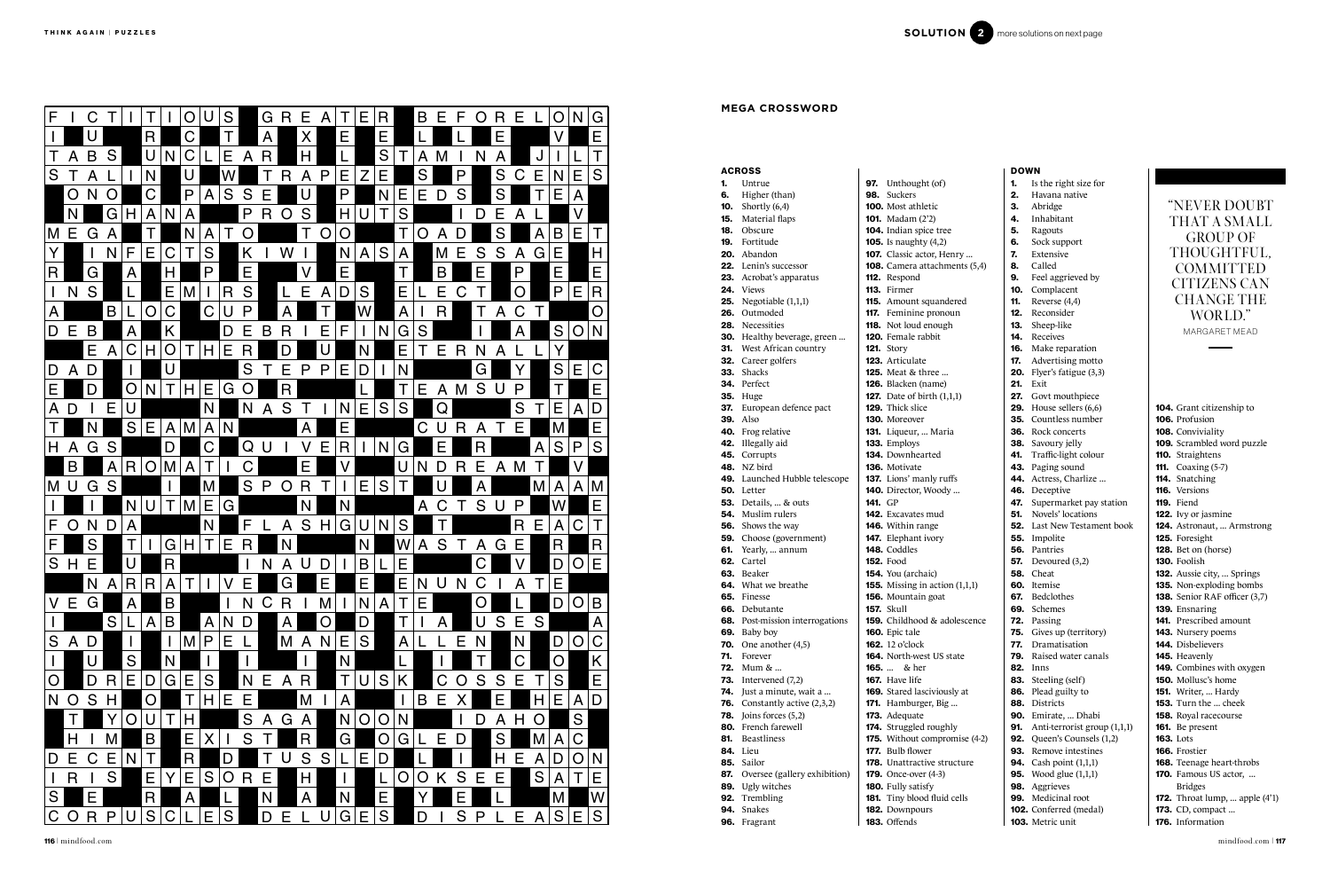|            | <b>ACROSS</b>                |                |                                                   |
|------------|------------------------------|----------------|---------------------------------------------------|
| 1.         | Untrue                       |                | 97. Unthought (of)                                |
|            | <b>6.</b> Higher (than)      | 98.            | <b>Suckers</b>                                    |
|            | <b>10.</b> Shortly $(6,4)$   |                | <b>100.</b> Most athletic                         |
|            | 15. Material flaps           |                | <b>101.</b> Madam (2'2)                           |
| 18.        | Obscure                      |                | 104. Indian spice tree                            |
| 19.        | Fortitude                    |                | <b>105.</b> Is naughty (4,2)                      |
| 20.        | Abandon                      |                | 107. Classic actor, Her                           |
|            | <b>22.</b> Lenin's successor |                | 108. Camera attachme                              |
| 23.        | Acrobat's apparatus          |                | 112. Respond                                      |
|            | 24. Views                    |                | 113. Firmer                                       |
| 25.        | Negotiable (1,1,1)           |                | 115. Amount squande                               |
| 26.        | Outmoded                     |                | 117. Feminine pronou                              |
| 28.        | Necessities                  |                | <b>118.</b> Not loud enough                       |
|            | 30. Healthy beverage, green  |                | 120. Female rabbit                                |
| 31.        | West African country         |                | <b>121.</b> Story                                 |
| 32.        | Career golfers               |                | 123. Articulate                                   |
| 33.        | <b>Shacks</b>                |                | <b>125.</b> Meat & three                          |
| 34.        | Perfect                      |                | 126. Blacken (name)                               |
|            | <b>35.</b> Huge              |                | <b>127.</b> Date of birth $(1,1)$                 |
|            | 37. European defence pact    |                | 129. Thick slice                                  |
| 39.        | Also                         |                | 130. Moreover                                     |
|            | 40. Frog relative            |                | 131. Liqueur,  Maria                              |
| 42.        | Illegally aid                |                | 133. Employs                                      |
| 45.        | Corrupts                     |                | 134. Downhearted                                  |
| 48.        | NZ bird                      |                | <b>136.</b> Motivate                              |
| 49.        | Launched Hubble telescope    |                | 137. Lions' manly ruff                            |
| 50.        | Letter                       |                | 140. Director, Woody                              |
|            | <b>53.</b> Details,  & outs  | <b>141. GP</b> |                                                   |
|            | <b>54.</b> Muslim rulers     |                | 142. Excavates mud                                |
| 56.        | Shows the way                |                | <b>146.</b> Within range                          |
| 59.        | Choose (government)          |                | 147. Elephant ivory                               |
| 61.        | Yearly,  annum               |                | 148. Coddles                                      |
| 62.        | Cartel                       |                | <b>152.</b> Food                                  |
|            | 63. Beaker                   |                | 154. You (archaic)                                |
|            | 64. What we breathe          |                | <b>155.</b> Missing in action                     |
|            | <b>65.</b> Finesse           |                | 156. Mountain goat                                |
|            | 66. Debutante                |                | <b>157.</b> Skull                                 |
| 68.        | Post-mission interrogations  |                | 159. Childhood & ado                              |
| 69.        | Baby boy                     |                | 160. Epic tale                                    |
| 70.        | One another (4,5)            |                | <b>162.</b> 12 o'clock                            |
| 71.        | Forever                      |                | 164. North-west US st.                            |
| 72.        | Mum $& $                     | $165.$         | & her                                             |
| 73.        | Intervened (7,2)             |                | <b>167.</b> Have life                             |
| 74.        | Just a minute, wait a        |                | <b>169.</b> Stared lasciviousl                    |
| 76.        | Constantly active (2,3,2)    |                | 171. Hamburger, Big.                              |
| 78.        | Joins forces (5,2)           |                | 173. Adequate                                     |
| 80.        | French farewell              |                | 174. Struggled roughly                            |
| 81.        | Beastliness<br>Lieu          |                | 175. Without compror                              |
| 84.        |                              |                | <b>177.</b> Bulb flower<br>178. Unattractive stru |
| 85.        | Sailor                       |                |                                                   |
| 87.<br>89. | Oversee (gallery exhibition) |                | <b>179.</b> Once-over (4-3)<br>180. Fully satisfy |
| 92.        | Ugly witches                 |                |                                                   |
|            | Trembling<br>94. Snakes      |                | 181. Tiny blood fluid o<br><b>182.</b> Downpours  |
|            |                              |                |                                                   |

- 96. Fragrant
- 182. Downpours

104. Grant citizenship to 106. Profusion 108. Conviviality 109. Scrambled word puzzle 110. Straightens **111.** Coaxing (5-7) 114. Snatching 116. Versions 119. Fiend 122. Ivy or jasmine 124. Astronaut, ... Armstrong 125. Foresight 128. Bet on (horse) 130. Foolish 132. Aussie city, ... Springs 135. Non-exploding bombs 138. Senior RAF officer (3,7) 139. Ensnaring 141. Prescribed amount 143. Nursery poems 144. Disbelievers 145. Heavenly 149. Combines with oxygen 150. Mollusc's home **151.** Writer, ... Hardy 153. Turn the ... cheek 158. Royal racecourse 161. Be present 163. Lots 166. Frostier 168. Teenage heart-throbs 170. Famous US actor, ... Bridges **172.** Throat lump, ... apple (4'1) **173.** CD, compact ...

183. Offends



| F.                           | C                            |                |                     |              | O                            | S                    | G R               | Е                              | $\mathsf{A}$      | E.             | $ {\bf R}$              | $\overline{B}$ | E F             | $\overline{O}$               | R.                      | IE.                 | O                   | N G          |                                                       |                                                                 |                                                                                |                                          |
|------------------------------|------------------------------|----------------|---------------------|--------------|------------------------------|----------------------|-------------------|--------------------------------|-------------------|----------------|-------------------------|----------------|-----------------|------------------------------|-------------------------|---------------------|---------------------|--------------|-------------------------------------------------------|-----------------------------------------------------------------|--------------------------------------------------------------------------------|------------------------------------------|
|                              |                              |                |                     |              |                              |                      | $\mathsf{A}$      | $\times$                       | E                 |                | E.                      |                |                 |                              | E                       |                     |                     | Ε            |                                                       |                                                                 |                                                                                |                                          |
|                              | B                            |                |                     | $U \mid N$   |                              | Е                    |                   | H                              |                   |                | S                       |                |                 |                              |                         |                     |                     | T            |                                                       |                                                                 |                                                                                |                                          |
|                              | $\mathsf{A}$                 | S              |                     |              |                              |                      | R<br>A            |                                |                   |                |                         | A              |                 |                              |                         |                     |                     |              |                                                       |                                                                 |                                                                                |                                          |
| S                            | A                            |                | N                   |              |                              |                      |                   | A                              | Е<br>P            |                | E.                      | S              |                 | P                            | S                       | E<br>$\mathsf{C}$   | N<br>E              | S            | <b>ACROSS</b><br>Untrue                               | <b>97.</b> Unthought (of)                                       | <b>DOWN</b><br>Is the right size for<br>1.                                     |                                          |
|                              | O N                          | $\overline{O}$ | $\overline{C}$      |              | $\mathsf{P}$<br>$\mathsf{A}$ | S                    | S<br>E.           |                                |                   | $\mathsf{P}$   | N                       | E.<br>E        | D               | S                            | S                       |                     | Е<br>$\overline{A}$ |              | Higher (than)<br>6.                                   | 98. Suckers                                                     | 2.<br>Havana native                                                            |                                          |
|                              |                              |                |                     |              |                              |                      |                   |                                |                   |                |                         |                |                 |                              |                         |                     |                     |              | Shortly (6,4)<br>10.                                  | <b>100.</b> Most athletic                                       | 3.<br>Abridge                                                                  | "NEVER                                   |
|                              | N                            | G H            | $\overline{A}$      |              | A                            |                      | $\mathsf{R}$<br>P | $\mathsf{S}$<br>$\overline{O}$ | <b>H</b>          |                |                         | S              |                 | D                            | E                       |                     |                     |              | Material flaps<br>15.                                 | <b>101.</b> Madam $(2^2)$                                       | Inhabitant<br>4.                                                               | THAT A                                   |
|                              | $ML =  G $                   |                |                     |              |                              | $\overline{O}$       |                   |                                | O                 | O              |                         | $\overline{O}$ | A D             |                              |                         |                     | B<br>E              |              | Obscure<br>18.                                        | 104. Indian spice tree                                          | Ragouts<br>5.                                                                  |                                          |
|                              |                              |                |                     |              |                              |                      |                   |                                |                   |                |                         |                |                 |                              |                         |                     |                     |              | Fortitude<br>19.                                      | <b>105.</b> Is naughty (4,2)                                    | Sock support<br>6.                                                             | <b>GROU</b>                              |
| Y                            |                              | N.             | F<br>E              | $\mathsf C$  | S                            |                      | K.                | W                              |                   | $N$ $A$ $S$    |                         | $\mathsf{A}$   | M E             | S                            | S                       | l G<br>A            | E                   | H            | <b>20.</b> Abandon                                    | 107. Classic actor, Henry                                       | 7.<br>Extensive                                                                | <b>THOUG</b>                             |
| R                            | G                            |                | A                   |              | P                            |                      | E.                | $\mathsf{V}$                   |                   | E              |                         |                | B.              | E                            |                         | P                   |                     | $\mathsf E$  | <b>22.</b> Lenin's successor                          | <b>108.</b> Camera attachments (5,4)                            | 8.<br>Called                                                                   | <b>COMM</b>                              |
|                              |                              |                |                     |              |                              |                      |                   |                                |                   |                |                         |                |                 |                              |                         |                     |                     |              | 23. Acrobat's apparatus                               | 112. Respond                                                    | Feel aggrieved by<br>9.                                                        | <b>CITIZEN</b>                           |
|                              | S<br>$\overline{\mathsf{N}}$ |                |                     | E            |                              | S<br>R               |                   | E                              | $\mathsf{A}$      | D<br>S         |                         | E              | E               | $\mathsf{C}$                 |                         | $\overline{O}$      | P<br>E.             | $\mathsf{R}$ | 24. Views                                             | 113. Firmer                                                     | 10. Complacent                                                                 |                                          |
|                              |                              |                |                     | O C          | $\mathsf C$                  | P                    |                   |                                |                   |                |                         |                |                 |                              |                         |                     |                     |              | <b>25.</b> Negotiable $(1,1,1)$                       | 115. Amount squandered                                          | 11.<br>Reverse (4,4)                                                           | <b>CHANG</b>                             |
| A                            |                              | $\mathsf{B}$   | L.                  |              |                              | U                    |                   |                                |                   |                |                         | A              | $\mathsf R$     |                              | A                       | C                   |                     | O            | 26. Outmoded                                          | <b>117.</b> Feminine pronoun                                    | 12.<br>Reconsider                                                              | <b>WOR</b>                               |
|                              | D E B                        |                | $\mathsf{A}$        | K            |                              | D                    | B<br>E.           | R                              | $\mathsf{F}$<br>Е |                | N                       | S<br>G         |                 |                              |                         |                     | S<br>$\overline{O}$ | 'N           | 28. Necessities                                       | <b>118.</b> Not loud enough                                     | 13.<br>Sheep-like                                                              | <b>MARGARI</b>                           |
|                              |                              |                |                     |              |                              |                      |                   |                                |                   |                |                         |                |                 |                              |                         |                     |                     |              | <b>30.</b> Healthy beverage, green                    | <b>120.</b> Female rabbit                                       | Receives<br>14.                                                                |                                          |
|                              | E                            |                | A C H O             |              | H                            | E<br>R.              |                   |                                |                   |                |                         | Е<br>T.        | E R             | N.                           | A                       |                     |                     |              | <b>31.</b> West African country<br>32. Career golfers | <b>121.</b> Story<br>123. Articulate                            | 16.<br>Make reparation<br>17.<br>Advertising motto                             |                                          |
|                              | D   A   D                    |                |                     |              |                              |                      | S                 | E.<br>P                        | E<br>∣P.          | D              |                         | N.             |                 | G                            |                         |                     | S<br>E              | $\mathsf{C}$ | 33. Shacks                                            | <b>125.</b> Meat & three                                        | <b>20.</b> Flyer's fatigue $(3,3)$                                             |                                          |
|                              |                              |                |                     |              |                              |                      |                   |                                |                   |                |                         |                |                 |                              |                         |                     |                     |              | 34. Perfect                                           | <b>126.</b> Blacken (name)                                      | <b>21.</b> Exit                                                                |                                          |
| E.                           |                              |                | O N                 | T            | E<br>H                       | G<br>$\overline{O}$  |                   | $\mathsf{R}$                   |                   |                |                         | E              | $A \mid M$      | S                            |                         | P                   |                     | E            | <b>35.</b> Huge                                       | <b>127.</b> Date of birth $(1,1,1)$                             | 27. Govt mouthpiece                                                            |                                          |
| A                            | $\mathsf{D}$                 | E.             |                     |              | N                            |                      | A                 | T<br>$\mathsf{S}$              |                   | N              | E S                     | S              | Q               |                              |                         | S                   | Е<br>$\mathsf{A}$   | D            | 37. European defence pact                             | 129. Thick slice                                                | <b>29.</b> House sellers $(6,6)$                                               | 104. Grant citize                        |
|                              |                              |                |                     |              |                              |                      |                   |                                |                   |                |                         |                |                 |                              |                         |                     |                     |              | <b>39.</b> Also                                       | 130. Moreover                                                   | <b>35.</b> Countless number                                                    | 106. Profusion                           |
|                              |                              |                | E<br>S              | $\mathsf{A}$ | $\mathsf{M}$<br>$\mathsf{A}$ |                      |                   | A                              |                   | E              |                         | $\mathsf C$    |                 | $\overline{\mathsf{R}}$<br>A |                         | E                   |                     | E            | 40. Frog relative                                     | 131. Liqueur,  Maria                                            | <b>36.</b> Rock concerts                                                       | 108. Conviviality                        |
| H.                           | G<br>$\mathsf{A}$            | S.             |                     | D            | C                            |                      | Q<br>U            | $\vee$                         | lE.               | $\overline{R}$ | $\overline{\mathsf{N}}$ | G              | Е               | R                            |                         | A                   | S<br>P              | S            | 42. Illegally aid                                     | 133. Employs                                                    | 38. Savoury jelly                                                              | 109. Scrambled v                         |
|                              |                              |                |                     |              |                              |                      |                   |                                |                   |                |                         |                |                 |                              |                         |                     |                     |              | 45. Corrupts                                          | 134. Downhearted                                                | 41. Traffic-light colour                                                       | 110. Straightens                         |
|                              | B                            |                | A R O               | M            | A                            |                      | C.                | E.                             |                   |                |                         | U              |                 | Е<br>R                       | $\mathsf{A}$<br>ΙM      |                     |                     |              | <b>48.</b> NZ bird                                    | 136. Motivate                                                   | 43. Paging sound                                                               | <b>111.</b> Coaxing $(5 - 7)$            |
| $\vert$ M $\vert$ U $\vert$  | G                            | S              |                     |              | M                            | S                    | ∣P.               | $O$ R                          | $\top$            |                | E S                     |                |                 | A                            |                         | Μ                   | A                   | $ A $ M      | <b>49.</b> Launched Hubble telescope                  | <b>137.</b> Lions' manly ruffs                                  | 44. Actress, Charlize                                                          | 114. Snatching                           |
|                              |                              |                |                     |              |                              |                      |                   |                                |                   |                |                         |                |                 |                              |                         |                     |                     |              | 50. Letter                                            | <b>140.</b> Director, Woody                                     | 46. Deceptive                                                                  | 116. Versions                            |
|                              |                              |                | N                   |              | $ U $ T $ M E$               | G                    |                   | N                              | $\overline{N}$    |                |                         | A              |                 | S                            |                         | $\mathsf{P}$        |                     | Е            | <b>53.</b> Details,  & outs                           | <b>141.</b> GP                                                  | 47. Supermarket pay station                                                    | 119. Fiend                               |
|                              |                              |                |                     |              |                              |                      |                   |                                |                   |                |                         |                |                 |                              |                         |                     |                     | T            | <b>54.</b> Muslim rulers                              | <b>142.</b> Excavates mud                                       | <b>51.</b> Novels' locations                                                   | 122. Ivy or jasmi                        |
| F.                           | O <br>N                      | D              |                     |              | N                            |                      |                   | A                              | S H               | G U N          |                         | S.             |                 |                              |                         | $\mathsf{R}$        | $\mathsf C$<br>A    |              | <b>56.</b> Shows the way                              | <b>146.</b> Within range                                        | <b>52.</b> Last New Testament book                                             | 124. Astronaut, .                        |
| F.                           | S                            |                |                     | G H          |                              | $T \mid E$<br>R.     |                   | N                              |                   | N              |                         | A              | S               | A                            | G E                     |                     | R <sub>l</sub>      | <b>R</b>     | <b>59.</b> Choose (government)<br>61. Yearly,  annum  | <b>147.</b> Elephant ivory<br>148. Coddles                      | 55. Impolite<br>56. Pantries                                                   | 125. Foresight<br>128. Bet on (hors      |
|                              |                              |                |                     |              |                              |                      |                   |                                |                   |                |                         |                |                 |                              |                         |                     |                     |              | 62. Cartel                                            | <b>152.</b> Food                                                | <b>57.</b> Devoured (3,2)                                                      | 130. Foolish                             |
|                              | S H <br>E                    |                |                     | $\mathsf{R}$ |                              |                      | N                 | $A$ $U$ $D$                    |                   |                | B L                     | E.             |                 | $\overline{C}$               |                         |                     | D<br>$\overline{O}$ | E            | 63. Beaker                                            | <b>154.</b> You (archaic)                                       | <b>58.</b> Cheat                                                               | <b>132.</b> Aussie city,                 |
|                              |                              |                | $N$ $A$ $R$ $R$ $A$ |              |                              | <b>E</b>             |                   |                                |                   |                |                         |                | $E$ N $U$ N $C$ |                              | $\mathsf{I} \mathsf{I}$ |                     | <b>E</b>            |              | <b>64.</b> What we breathe                            | <b>155.</b> Missing in action $(1,1,1)$                         | 60. Itemise                                                                    | 135. Non-explod                          |
|                              |                              |                |                     |              |                              |                      |                   |                                |                   |                |                         |                |                 |                              |                         |                     |                     |              | 65. Finesse                                           | 156. Mountain goat                                              | 67. Bedclothes                                                                 | 138. Senior RAF                          |
| V                            | E G                          |                | $\mathsf{A}$        | <b>B</b>     |                              | N.                   | C R               |                                | ∣M                | N              |                         | ΙE             |                 | O                            |                         |                     | D                   | O B          | 66. Debutante                                         | <b>157.</b> Skull                                               | 69. Schemes                                                                    | 139. Ensnaring                           |
|                              |                              |                | S L                 | A B          |                              | $A \mid N \mid D$    |                   |                                |                   | D              |                         |                |                 | U                            | S                       | E<br><sub>S</sub>   |                     | $\mathsf{A}$ | <b>68.</b> Post-mission interrogations                | <b>159.</b> Childhood & adolescence                             | 72. Passing                                                                    | 141. Prescribed a                        |
|                              |                              |                |                     |              |                              |                      |                   |                                |                   |                |                         |                |                 |                              |                         |                     |                     |              | 69. Baby boy                                          | 160. Epic tale                                                  | <b>75.</b> Gives up (territory)                                                | 143. Nursery poe                         |
|                              | $S$ $A$ $D$                  |                |                     |              | $\mathsf{P}$<br>$\mathsf{M}$ | IE.                  |                   |                                | M A N E S         |                |                         | A L            | E               | N <sub>1</sub>               |                         | N                   | D                   | O C          | <b>70.</b> One another $(4,5)$                        | <b>162.</b> 12 o'clock                                          | 77. Dramatisation                                                              | 144. Disbelievers                        |
|                              |                              |                | S                   | N            |                              |                      |                   |                                |                   |                |                         |                |                 |                              |                         | $\mathsf{C}$        | $\overline{O}$      | K            | 71. Forever                                           | <b>164.</b> North-west US state                                 | <b>79.</b> Raised water canals                                                 | 145. Heavenly                            |
|                              |                              |                |                     |              |                              |                      |                   |                                |                   |                |                         |                |                 |                              |                         |                     |                     |              | <b>72.</b> Mum &                                      | <b>165.</b> & her                                               | <b>82.</b> Inns                                                                | 149. Combines w                          |
| $\mathsf{O}$                 | D                            |                | R E D G E           |              | <b>S</b>                     | N                    |                   | E   A   R                      |                   |                | U S K                   |                | C O             | S                            | S<br>ΙE                 |                     | $S \mid$            | $\mathsf E$  | 73. Intervened $(7,2)$                                | <b>167.</b> Have life                                           | 83. Steeling (self)                                                            | <b>150.</b> Mollusc's ho                 |
| N O                          | S.                           |                | $\overline{O}$      |              | H                            | E<br>IE.             |                   | M                              |                   |                |                         |                | B E             |                              |                         |                     | Е                   | $A$ D        | <b>74.</b> Just a minute, wait a                      | 169. Stared lasciviously at                                     | 86. Plead guilty to                                                            | <b>151.</b> Writer,  H.                  |
|                              |                              |                |                     |              |                              |                      |                   |                                |                   |                |                         |                |                 |                              |                         |                     |                     |              | <b>76.</b> Constantly active $(2,3,2)$                | <b>171.</b> Hamburger, Big                                      | 88. Districts                                                                  | <b>153.</b> Turn the                     |
|                              |                              |                | O<br>U              |              | ΙH                           |                      | S<br>A            | G A                            |                   |                | $N$  O $ O $ N $ $      |                |                 | D                            | A                       | H                   | <b>S</b>            |              | <b>78.</b> Joins forces $(5,2)$                       | 173. Adequate                                                   | 90. Emirate,  Dhabi                                                            | 158. Royal raceco                        |
|                              |                              |                | B                   |              | Е                            | S                    |                   | R                              |                   | G              |                         |                | E               | $\mathsf{D}$                 | S                       |                     |                     |              | 80. French farewell<br>81. Beastliness                | 174. Struggled roughly                                          | <b>91.</b> Anti-terrorist group $(1,1,1)$<br><b>92.</b> Queen's Counsels (1,2) | <b>161.</b> Be present                   |
|                              | H                            |                |                     |              |                              |                      |                   |                                |                   |                | $\mathsf{O}$            | G              |                 |                              |                         |                     | A C                 |              | 84. Lieu                                              | <b>175.</b> Without compromise (4-2)<br><b>177.</b> Bulb flower | 93. Remove intestines                                                          | <b>163.</b> Lots<br><b>166.</b> Frostier |
| D E                          | $\mathsf C$                  | E.             |                     |              | $\mathsf{R}$                 |                      |                   | S                              | S                 | ΙE             |                         |                |                 |                              | H                       | Е<br>$\mathsf{A}$   | D<br>$\overline{O}$ | <sup>N</sup> | 85. Sailor                                            | <b>178.</b> Unattractive structure                              | <b>94.</b> Cash point (1,1,1)                                                  | 168. Teenage hea                         |
|                              |                              |                |                     |              |                              |                      |                   |                                |                   |                |                         |                |                 |                              |                         |                     |                     |              | <b>87.</b> Oversee (gallery exhibition)               | <b>179.</b> Once-over (4-3)                                     | <b>95.</b> Wood glue (1,1,1)                                                   | <b>170.</b> Famous US                    |
| $\mathsf{I} \mid \mathsf{R}$ |                              | S              | Е                   |              | E<br><b>S</b>                | $\overline{O}$<br>R. | E                 | H                              |                   |                |                         | $\overline{O}$ | O K             | S<br>E                       | IE.                     | S                   | $\mathsf{A}$        | T E          | 89. Ugly witches                                      | <b>180.</b> Fully satisfy                                       | 98. Aggrieves                                                                  | <b>Bridges</b>                           |
| S                            | E                            |                |                     |              |                              |                      |                   | A                              | N                 |                | E                       |                |                 | E                            |                         |                     |                     | W            | 92. Trembling                                         | <b>181.</b> Tiny blood fluid cells                              | 99. Medicinal root                                                             | 172. Throat lump                         |
|                              |                              |                |                     |              |                              |                      |                   |                                |                   |                |                         |                |                 |                              |                         |                     |                     |              | 94. Snakes                                            | 182. Downpours                                                  | <b>102.</b> Conferred (medal)                                                  | <b>173.</b> CD, compac                   |
|                              | C O R P                      |                | U                   |              | S C L E                      | S                    |                   | D E L                          | U                 | G E            | S                       | D              |                 | S<br>P                       |                         | Е<br>$\overline{A}$ | S                   | $E$ S        | 96. Fragrant                                          | 183. Offends                                                    | 103. Metric unit                                                               | 176. Information                         |

## **MEGA CROSSWORD**

"NEVER DOUBT THAT A SMALL GROUP OF THOUGHTFUL, COMMITTED CITIZENS CAN CHANGE THE WORLD." MARGARET MEAD